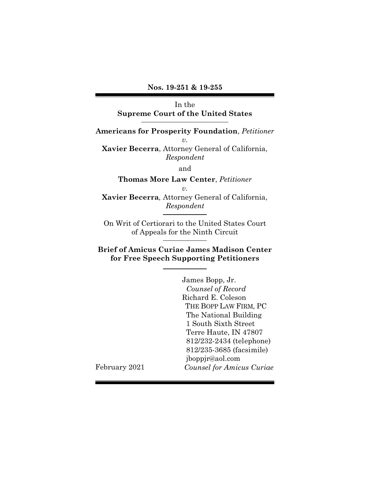## **Nos. 19-251 & 19-255**

# In the **Supreme Court of the United States**

**Americans for Prosperity Foundation**, *Petitioner v.*

**Xavier Becerra**, Attorney General of California, *Respondent*

and

**Thomas More Law Center**, *Petitioner*

*v.*

**Xavier Becerra***,* Attorney General of California, *Respondent*

On Writ of Certiorari to the United States Court of Appeals for the Ninth Circuit

# **Brief of Amicus Curiae James Madison Center for Free Speech Supporting Petitioners**

James Bopp, Jr. *Counsel of Record* Richard E. Coleson THE BOPP LAW FIRM, PC The National Building 1 South Sixth Street Terre Haute, IN 47807 812/232-2434 (telephone) 812/235-3685 (facsimile) jboppjr@aol.com *Counsel for Amicus Curiae*

February 2021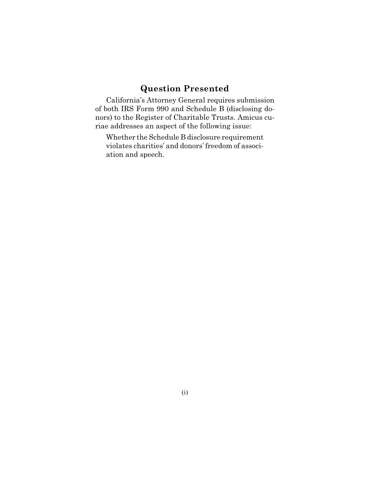# **Question Presented**

California's Attorney General requires submission of both IRS Form 990 and Schedule B (disclosing donors) to the Register of Charitable Trusts. Amicus curiae addresses an aspect of the following issue:

Whether the Schedule B disclosure requirement violates charities' and donors' freedom of association and speech.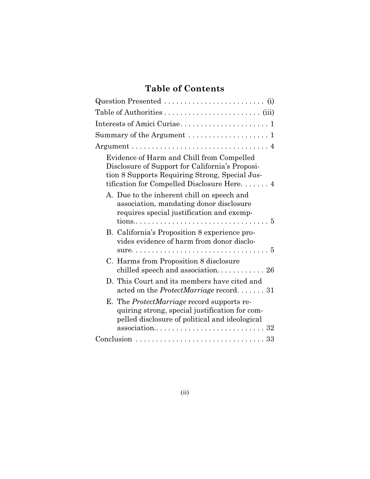# **Table of Contents**

| Summary of the Argument $\ldots \ldots \ldots \ldots \ldots \ldots 1$                                                                                                                         |
|-----------------------------------------------------------------------------------------------------------------------------------------------------------------------------------------------|
|                                                                                                                                                                                               |
| Evidence of Harm and Chill from Compelled<br>Disclosure of Support for California's Proposi-<br>tion 8 Supports Requiring Strong, Special Jus-<br>tification for Compelled Disclosure Here. 4 |
| A. Due to the inherent chill on speech and<br>association, mandating donor disclosure<br>requires special justification and exemp-                                                            |
| B. California's Proposition 8 experience pro-<br>vides evidence of harm from donor disclo-                                                                                                    |
| C. Harms from Proposition 8 disclosure                                                                                                                                                        |
| D. This Court and its members have cited and<br>acted on the <i>ProtectMarriage</i> record. $\dots \dots 31$                                                                                  |
| E. The <i>ProtectMarriage</i> record supports re-<br>quiring strong, special justification for com-<br>pelled disclosure of political and ideological                                         |
|                                                                                                                                                                                               |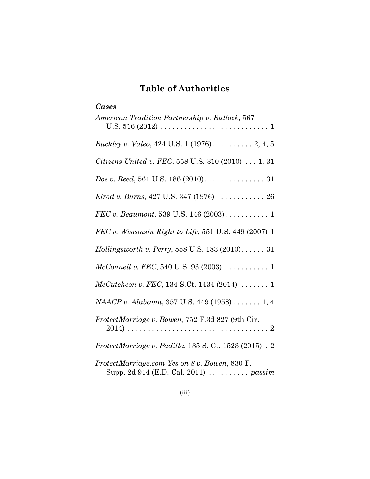# **Table of Authorities**

| Cases                                                                                  |
|----------------------------------------------------------------------------------------|
| American Tradition Partnership v. Bullock, 567                                         |
| <i>Buckley v. Valeo, 424 U.S. 1 (1976)</i> 2, 4, 5                                     |
| Citizens United v. FEC, 558 U.S. 310 (2010) 1, 31                                      |
|                                                                                        |
| Elrod v. Burns, 427 U.S. 347 (1976) $\ldots \ldots \ldots \ldots 26$                   |
|                                                                                        |
| FEC v. Wisconsin Right to Life, 551 U.S. 449 (2007) 1                                  |
| Hollingsworth v. Perry, 558 U.S. 183 (2010) 31                                         |
| $McConnell v. FEC, 540 U.S. 93 (2003) 1$                                               |
| McCutcheon v. FEC, 134 S.Ct. 1434 (2014)  1                                            |
| NAACP v. Alabama, 357 U.S. 449 (1958) 1, 4                                             |
| ProtectMarriage v. Bowen, 752 F.3d 827 (9th Cir.                                       |
| ProtectMarriage v. Padilla, $135 S$ . Ct. $1523 (2015)$ . 2                            |
| ProtectMarriage.com-Yes on 8 v. Bowen, 830 F.<br>Supp. 2d 914 (E.D. Cal. 2011)  passim |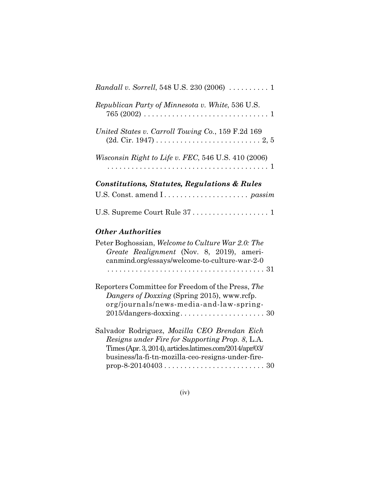| <i>Randall v. Sorrell</i> , 548 U.S. 230 (2006) $\ldots \ldots \ldots 1$                                                                                                                                        |
|-----------------------------------------------------------------------------------------------------------------------------------------------------------------------------------------------------------------|
| Republican Party of Minnesota v. White, 536 U.S.                                                                                                                                                                |
| United States v. Carroll Towing Co., 159 F.2d 169<br>$(2d. Cir. 1947) \ldots \ldots \ldots \ldots \ldots \ldots \ldots \ldots \ldots \ldots \ldots \ldots$                                                      |
| Wisconsin Right to Life v. FEC, 546 U.S. 410 (2006)                                                                                                                                                             |
| <b>Constitutions, Statutes, Regulations &amp; Rules</b>                                                                                                                                                         |
|                                                                                                                                                                                                                 |
| U.S. Supreme Court Rule 37  1                                                                                                                                                                                   |
| <b>Other Authorities</b>                                                                                                                                                                                        |
| Peter Boghossian, Welcome to Culture War 2.0: The<br>Greate Realignment (Nov. 8, 2019), ameri-<br>canmind.org/essays/welcome-to-culture-war-2-0                                                                 |
| Reporters Committee for Freedom of the Press, The<br>Dangers of Doxxing (Spring 2015), www.rcfp.<br>org/journals/news-media-and-law-spring-                                                                     |
| Salvador Rodriguez, Mozilla CEO Brendan Eich<br>Resigns under Fire for Supporting Prop. 8, L.A.<br>Times (Apr. 3, 2014), articles.latimes.com/2014/apr/03/<br>business/la-fi-tn-mozilla-ceo-resigns-under-fire- |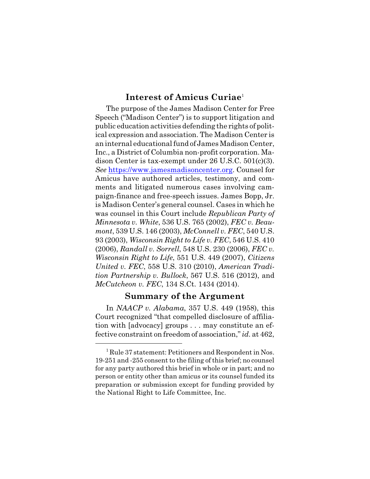# **Interest of Amicus Curiae** 1

The purpose of the James Madison Center for Free Speech ("Madison Center") is to support litigation and public education activities defending the rights of political expression and association. The Madison Center is an internal educational fund of James Madison Center, Inc., a District of Columbia non-profit corporation. Madison Center is tax-exempt under 26 U.S.C. 501(c)(3). *See* https://www.jamesmadisoncenter.org. Counsel for Amicus have authored articles, testimony, and comments and litigated numerous cases involving campaign-finance and free-speech issues. James Bopp, Jr. is Madison Center's general counsel. Cases in which he was counsel in this Court include *Republican Party of Minnesota v. White*, 536 U.S. 765 (2002), *FEC v. Beaumont*, 539 U.S. 146 (2003), *McConnell v. FEC*, 540 U.S. 93 (2003), *Wisconsin Right to Life v. FEC*, 546 U.S. 410 (2006), *Randall v. Sorrell*, 548 U.S. 230 (2006), *FEC v. Wisconsin Right to Life*, 551 U.S. 449 (2007), *Citizens United v. FEC*, 558 U.S. 310 (2010), *American Tradition Partnership v. Bullock*, 567 U.S. 516 (2012), and *McCutcheon v. FEC*, 134 S.Ct. 1434 (2014).

## **Summary of the Argument**

In *NAACP v. Alabama*, 357 U.S. 449 (1958), this Court recognized "that compelled disclosure of affiliation with [advocacy] groups . . . may constitute an effective constraint on freedom of association," *id.* at 462,

<sup>&</sup>lt;sup>1</sup> Rule 37 statement: Petitioners and Respondent in Nos. 19-251 and -255 consent to the filing ofthis brief; no counsel for any party authored this brief in whole or in part; and no person or entity other than amicus or its counsel funded its preparation or submission except for funding provided by the National Right to Life Committee, Inc.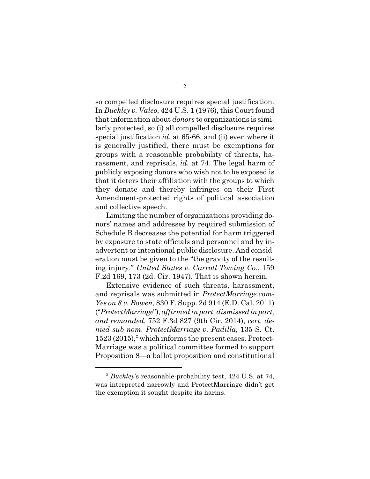so compelled disclosure requires special justification. In *Buckley v. Valeo*, 424 U.S. 1 (1976), this Court found that information about *donors* to organizations is similarly protected, so (i) all compelled disclosure requires special justification *id.* at 65-66, and (ii) even where it is generally justified, there must be exemptions for groups with a reasonable probability of threats, harassment, and reprisals, *id.* at 74. The legal harm of publicly exposing donors who wish not to be exposed is that it deters their affiliation with the groups to which they donate and thereby infringes on their First Amendment-protected rights of political association and collective speech.

Limiting the number of organizations providing donors' names and addresses by required submission of Schedule B decreases the potential for harm triggered by exposure to state officials and personnel and by inadvertent or intentional public disclosure. And consideration must be given to the "the gravity of the resulting injury." *United States v. Carroll Towing Co.*, 159 F.2d 169, 173 (2d. Cir. 1947). That is shown herein.

Extensive evidence of such threats, harassment, and reprisals was submitted in *ProtectMarriage.com-Yes on 8 v. Bowen*, 830 F. Supp. 2d 914 (E.D. Cal. 2011) ("*ProtectMarriage*"), *affirmed in part, dismissed in part, and remanded*, 752 F.3d 827 (9th Cir. 2014), *cert. denied sub nom. ProtectMarriage v. Padilla*, 135 S. Ct.  $1523 (2015),\frac{2}{3}$  which informs the present cases. Protect-Marriage was a political committee formed to support Proposition 8—a ballot proposition and constitutional

<sup>2</sup> *Buckley*'s reasonable-probability test, 424 U.S. at 74, was interpreted narrowly and ProtectMarriage didn't get the exemption it sought despite its harms.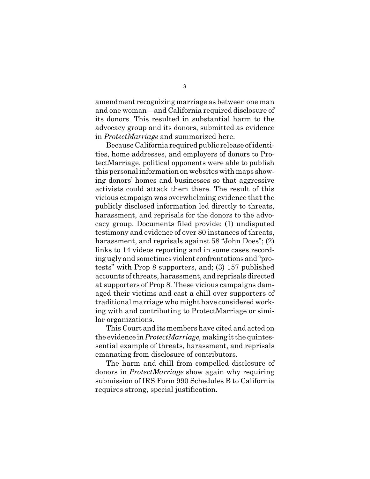amendment recognizing marriage as between one man and one woman—and California required disclosure of its donors. This resulted in substantial harm to the advocacy group and its donors, submitted as evidence in *ProtectMarriage* and summarized here.

Because California required public release of identities, home addresses, and employers of donors to ProtectMarriage, political opponents were able to publish this personalinformation on websites with maps showing donors' homes and businesses so that aggressive activists could attack them there. The result of this vicious campaign was overwhelming evidence that the publicly disclosed information led directly to threats, harassment, and reprisals for the donors to the advocacy group. Documents filed provide: (1) undisputed testimony and evidence of over 80 instances of threats, harassment, and reprisals against 58 "John Does"; (2) links to 14 videos reporting and in some cases recording ugly and sometimes violent confrontations and "protests" with Prop 8 supporters, and; (3) 157 published accounts of threats, harassment, and reprisals directed at supporters of Prop 8. These vicious campaigns damaged their victims and cast a chill over supporters of traditional marriage who might have considered working with and contributing to ProtectMarriage or similar organizations.

This Court and its members have cited and acted on the evidence in *ProtectMarriage*, making it the quintessential example of threats, harassment, and reprisals emanating from disclosure of contributors.

The harm and chill from compelled disclosure of donors in *ProtectMarriage* show again why requiring submission of IRS Form 990 Schedules B to California requires strong, special justification.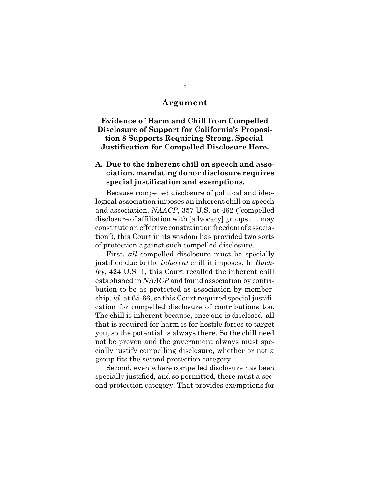## **Argument**

**Evidence of Harm and Chill from Compelled Disclosure of Support for California's Proposition 8 Supports Requiring Strong, Special Justification for Compelled Disclosure Here.**

## **A. Due to the inherent chill on speech and association, mandating donor disclosure requires special justification and exemptions.**

Because compelled disclosure of political and ideological association imposes an inherent chill on speech and association, *NAACP*, 357 U.S. at 462 ("compelled disclosure of affiliation with [advocacy] groups . . . may constitute an effective constraint on freedom of association"), this Court in its wisdom has provided two sorts of protection against such compelled disclosure.

First, *all* compelled disclosure must be specially justified due to the *inherent* chill it imposes. In *Buckley*, 424 U.S. 1, this Court recalled the inherent chill established in *NAACP* and found association by contribution to be as protected as association by membership, *id.* at 65-66, so this Court required special justification for compelled disclosure of contributions too. The chill is inherent because, once one is disclosed, all that is required for harm is for hostile forces to target you, so the potential is always there. So the chill need not be proven and the government always must specially justify compelling disclosure, whether or not a group fits the second protection category.

Second, even where compelled disclosure has been specially justified, and so permitted, there must a second protection category. That provides exemptions for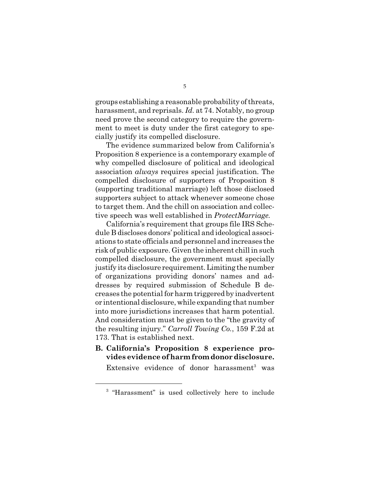groups establishing a reasonable probability of threats, harassment, and reprisals. *Id.* at 74. Notably, no group need prove the second category to require the government to meet is duty under the first category to specially justify its compelled disclosure.

The evidence summarized below from California's Proposition 8 experience is a contemporary example of why compelled disclosure of political and ideological association *always* requires special justification. The compelled disclosure of supporters of Proposition 8 (supporting traditional marriage) left those disclosed supporters subject to attack whenever someone chose to target them. And the chill on association and collective speech was well established in *ProtectMarriage*.

California's requirement that groups file IRS Schedule B discloses donors' political and ideological associations to state officials and personnel and increases the risk of public exposure. Given the inherent chill in such compelled disclosure, the government must specially justify its disclosure requirement.Limiting thenumber of organizations providing donors' names and addresses by required submission of Schedule B decreases the potential for harm triggered by inadvertent or intentional disclosure, while expanding that number into more jurisdictions increases that harm potential. And consideration must be given to the "the gravity of the resulting injury." *Carroll Towing Co.*, 159 F.2d at 173. That is established next.

**B. California's Proposition 8 experience provides evidence of harm fromdonordisclosure.**

Extensive evidence of donor harassment<sup>3</sup> was

<sup>&</sup>lt;sup>3</sup> "Harassment" is used collectively here to include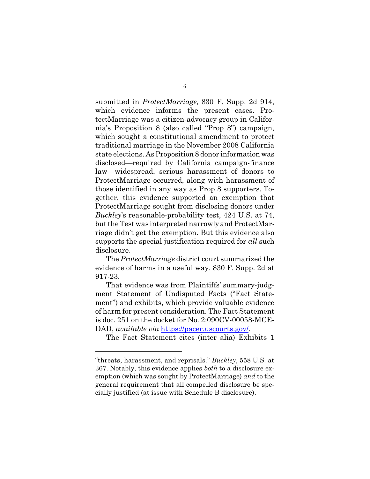submitted in *ProtectMarriage*, 830 F. Supp. 2d 914, which evidence informs the present cases. ProtectMarriage was a citizen-advocacy group in California's Proposition 8 (also called "Prop 8") campaign, which sought a constitutional amendment to protect traditional marriage in the November 2008 California state elections. As Proposition 8 donor information was disclosed—required by California campaign-finance law—widespread, serious harassment of donors to ProtectMarriage occurred, along with harassment of those identified in any way as Prop 8 supporters. Together, this evidence supported an exemption that ProtectMarriage sought from disclosing donors under *Buckley*'s reasonable-probability test, 424 U.S. at 74, but the Test was interpreted narrowly and ProtectMarriage didn't get the exemption. But this evidence also supports the special justification required for *all* such disclosure.

The *ProtectMarriage* district court summarized the evidence of harms in a useful way. 830 F. Supp. 2d at 917-23.

That evidence was from Plaintiffs' summary-judgment Statement of Undisputed Facts ("Fact Statement") and exhibits, which provide valuable evidence of harm for present consideration. The Fact Statement is doc. 251 on the docket for No. 2:090CV-00058-MCE-DAD, *available via* https://pacer.uscourts.gov/.

The Fact Statement cites (inter alia) Exhibits 1

<sup>&</sup>quot;threats, harassment, and reprisals." *Buckley*, 558 U.S. at 367. Notably, this evidence applies *both* to a disclosure exemption (which was sought by ProtectMarriage) *and* to the general requirement that all compelled disclosure be specially justified (at issue with Schedule B disclosure).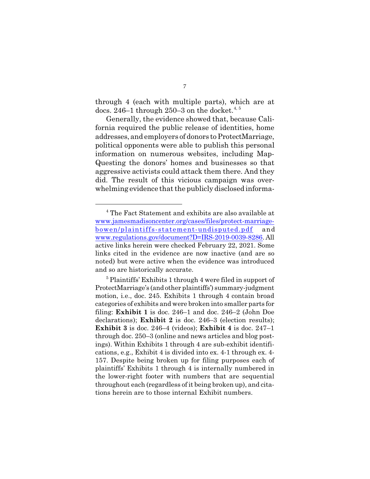through 4 (each with multiple parts), which are at docs. 246–1 through 250–3 on the docket.<sup>4, 5</sup>

Generally, the evidence showed that, because California required the public release of identities, home addresses, and employers of donors to ProtectMarriage, political opponents were able to publish this personal information on numerous websites, including Map-Questing the donors' homes and businesses so that aggressive activists could attack them there. And they did. The result of this vicious campaign was overwhelming evidence that the publicly disclosed informa-

<sup>4</sup> The Fact Statement and exhibits are also available at www.jamesmadisoncenter.org/cases/files/protect-marriagebowen/plaintiffs-statement-undisputed.pdf and www.regulations.gov/document?D=IRS-2019-0039-8286. All active links herein were checked February 22, 2021. Some links cited in the evidence are now inactive (and are so noted) but were active when the evidence was introduced and so are historically accurate.

<sup>&</sup>lt;sup>5</sup> Plaintiffs' Exhibits 1 through 4 were filed in support of ProtectMarriage's (and other plaintiffs') summary-judgment motion, i.e., doc. 245. Exhibits 1 through 4 contain broad categories of exhibits and were broken into smaller parts for filing: **Exhibit 1** is doc. 246–1 and doc. 246–2 (John Doe declarations); **Exhibit 2** is doc. 246–3 (election results); **Exhibit 3** is doc. 246–4 (videos); **Exhibit 4** is doc. 247–1 through doc. 250–3 (online and news articles and blog postings). Within Exhibits 1 through 4 are sub-exhibit identifications, e.g., Exhibit 4 is divided into ex. 4-1 through ex. 4- 157. Despite being broken up for filing purposes each of plaintiffs' Exhibits 1 through 4 is internally numbered in the lower-right footer with numbers that are sequential throughout each (regardless of it being broken up), and citations herein are to those internal Exhibit numbers.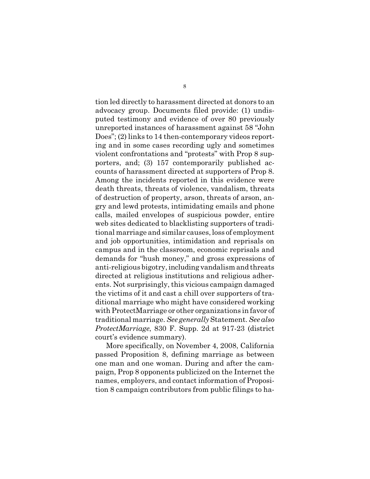tion led directly to harassment directed at donors to an advocacy group. Documents filed provide: (1) undisputed testimony and evidence of over 80 previously unreported instances of harassment against 58 "John Does"; (2) links to 14 then-contemporary videos reporting and in some cases recording ugly and sometimes violent confrontations and "protests" with Prop 8 supporters, and; (3) 157 contemporarily published accounts of harassment directed at supporters of Prop 8. Among the incidents reported in this evidence were death threats, threats of violence, vandalism, threats of destruction of property, arson, threats of arson, angry and lewd protests, intimidating emails and phone calls, mailed envelopes of suspicious powder, entire web sites dedicated to blacklisting supporters of traditional marriage and similar causes, loss of employment and job opportunities, intimidation and reprisals on campus and in the classroom, economic reprisals and demands for "hush money," and gross expressions of anti-religious bigotry, including vandalism and threats directed at religious institutions and religious adherents. Not surprisingly, this vicious campaign damaged the victims of it and cast a chill over supporters of traditional marriage who might have considered working with ProtectMarriage or other organizations in favor of traditional marriage. *See generally* Statement. *See also ProtectMarriage*, 830 F. Supp. 2d at 917-23 (district court's evidence summary).

More specifically, on November 4, 2008, California passed Proposition 8, defining marriage as between one man and one woman. During and after the campaign, Prop 8 opponents publicized on the Internet the names, employers, and contact information of Proposition 8 campaign contributors from public filings to ha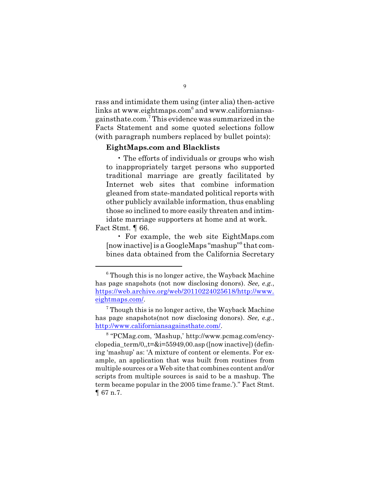rass and intimidate them using (inter alia) then-active links at www.eightmaps.com $^6$  and www.californiansagainsthate.com.<sup>7</sup> This evidence was summarized in the Facts Statement and some quoted selections follow (with paragraph numbers replaced by bullet points):

### **EightMaps.com and Blacklists**

• The efforts of individuals or groups who wish to inappropriately target persons who supported traditional marriage are greatly facilitated by Internet web sites that combine information gleaned from state-mandated political reports with other publicly available information, thus enabling those so inclined to more easily threaten and intimidate marriage supporters at home and at work.

Fact Stmt. ¶ 66.

• For example, the web site EightMaps.com [now inactive] is a GoogleMaps "mashup"<sup>8</sup> that combines data obtained from the California Secretary

 $6$  Though this is no longer active, the Wayback Machine has page snapshots (not now disclosing donors). *See, e.g.*, https://web.archive.org/web/20110224025618/http://www. eightmaps.com/.

 $7$  Though this is no longer active, the Wayback Machine has page snapshots(not now disclosing donors). *See, e.g.*, http://www.californiansagainsthate.com/.

<sup>8</sup> "PCMag.com, 'Mashup,' http://www.pcmag.com/encyclopedia  $term/0$ ,t= $&i=55949,00.$ asp ([now inactive]) (defining 'mashup' as: 'A mixture of content or elements. For example, an application that was built from routines from multiple sources or a Web site that combines content and/or scripts from multiple sources is said to be a mashup. The term became popular in the 2005 time frame.')." Fact Stmt. ¶ 67 n.7.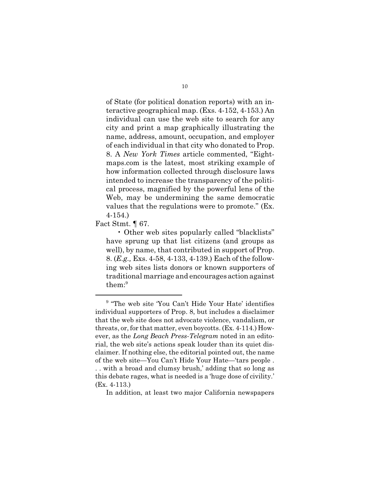of State (for political donation reports) with an interactive geographical map. (Exs. 4-152, 4-153.) An individual can use the web site to search for any city and print a map graphically illustrating the name, address, amount, occupation, and employer of each individual in that city who donated to Prop. 8. A *New York Times* article commented, "Eightmaps.com is the latest, most striking example of how information collected through disclosure laws intended to increase the transparency of the political process, magnified by the powerful lens of the Web, may be undermining the same democratic values that the regulations were to promote." (Ex. 4-154.)

Fact Stmt. ¶ 67.

• Other web sites popularly called "blacklists" have sprung up that list citizens (and groups as well), by name, that contributed in support of Prop. 8. (*E.g.,* Exs. 4-58, 4-133, 4-139.) Each of the following web sites lists donors or known supporters of traditional marriage and encourages action against them:<sup>9</sup>

In addition, at least two major California newspapers

<sup>&</sup>lt;sup>9</sup> "The web site 'You Can't Hide Your Hate' identifies individual supporters of Prop. 8, but includes a disclaimer that the web site does not advocate violence, vandalism, or threats, or, for that matter, even boycotts. (Ex. 4-114.) However, as the *Long Beach Press-Telegram* noted in an editorial, the web site's actions speak louder than its quiet disclaimer. If nothing else, the editorial pointed out, the name of the web site—You Can't Hide Your Hate—'tars people . . . with a broad and clumsy brush,' adding that so long as this debate rages, what is needed is a 'huge dose of civility.' (Ex. 4-113.)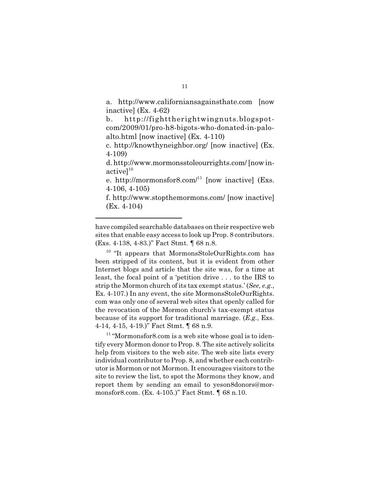a. http://www.californiansagainsthate.com [now inactive] (Ex. 4-62)

b. http://fighttherightwingnuts.blogspotcom/2009/01/pro-h8-bigots-who-donated-in-paloalto.html [now inactive] (Ex. 4-110)

c. http://knowthyneighbor.org/ [now inactive] (Ex. 4-109)

d. http://www.mormonsstoleourrights.com/ [now in $active$ <sup>10</sup>

e. http://mormonsfor8.com/ $11}$  [now inactive] (Exs. 4-106, 4-105)

f. http://www.stopthemormons.com/ [now inactive] (Ex. 4-104)

<sup>10</sup> "It appears that MormonsStoleOurRights.com has been stripped of its content, but it is evident from other Internet blogs and article that the site was, for a time at least, the focal point of a 'petition drive . . . to the IRS to strip the Mormon church of its tax exempt status.' (*See, e.g.*, Ex. 4-107.) In any event, the site MormonsStoleOurRights. com was only one of several web sites that openly called for the revocation of the Mormon church's tax-exempt status because of its support for traditional marriage. (*E.g.*, Exs. 4-14, 4-15, 4-19.)" Fact Stmt. ¶ 68 n.9.

<sup>11</sup> "Mormonsfor8.com is a web site whose goal is to identify every Mormon donor to Prop. 8. The site actively solicits help from visitors to the web site. The web site lists every individual contributor to Prop. 8, and whether each contributor is Mormon or not Mormon. It encourages visitors to the site to review the list, to spot the Mormons they know, and report them by sending an email to yeson8donors@mormonsfor8.com. (Ex. 4-105.)" Fact Stmt. ¶ 68 n.10.

have compiled searchable databases on their respective web sites that enable easy access to look up Prop. 8 contributors. (Exs. 4-138, 4-83.)" Fact Stmt. ¶ 68 n.8.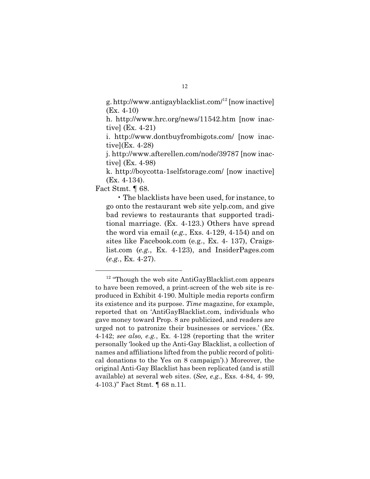g.http://www.antigayblacklist.com/<sup>12</sup> [now inactive] (Ex. 4-10)

h. http://www.hrc.org/news/11542.htm [now inactive] (Ex. 4-21)

i. http://www.dontbuyfrombigots.com/ [now inactive](Ex. 4-28)

j. http://www.afterellen.com/node/39787 [now inactive] (Ex. 4-98)

k. http://boycotta-1selfstorage.com/ [now inactive] (Ex. 4-134).

Fact Stmt. ¶ 68.

• The blacklists have been used, for instance, to go onto the restaurant web site yelp.com, and give bad reviews to restaurants that supported traditional marriage. (Ex. 4-123.) Others have spread the word via email (*e.g.*, Exs. 4-129, 4-154) and on sites like Facebook.com (e.g., Ex. 4- 137), Craigslist.com (*e.g.*, Ex. 4-123), and InsiderPages.com (*e.g.*, Ex. 4-27).

<sup>&</sup>lt;sup>12</sup> "Though the web site AntiGayBlacklist.com appears to have been removed, a print-screen of the web site is reproduced in Exhibit 4-190. Multiple media reports confirm its existence and its purpose. *Time* magazine, for example, reported that on 'AntiGayBlacklist.com, individuals who gave money toward Prop. 8 are publicized, and readers are urged not to patronize their businesses or services.' (Ex. 4-142; *see also, e.g.*, Ex. 4-128 (reporting that the writer personally 'looked up the Anti-Gay Blacklist, a collection of names and affiliations lifted from the public record of political donations to the Yes on 8 campaign').) Moreover, the original Anti-Gay Blacklist has been replicated (and is still available) at several web sites. (*See, e.g.*, Exs. 4-84, 4- 99, 4-103.)" Fact Stmt. ¶ 68 n.11.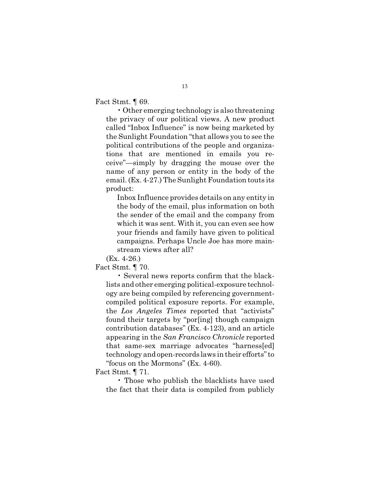Fact Stmt. ¶ 69.

• Other emerging technology is also threatening the privacy of our political views. A new product called "Inbox Influence" is now being marketed by the Sunlight Foundation "that allows you to see the political contributions of the people and organizations that are mentioned in emails you receive"—simply by dragging the mouse over the name of any person or entity in the body of the email. (Ex. 4-27.) The Sunlight Foundation touts its product:

Inbox Influence provides details on any entity in the body of the email, plus information on both the sender of the email and the company from which it was sent. With it, you can even see how your friends and family have given to political campaigns. Perhaps Uncle Joe has more mainstream views after all?

(Ex. 4-26.)

Fact Stmt. ¶ 70.

• Several news reports confirm that the blacklists and other emerging political-exposure technology are being compiled by referencing governmentcompiled political exposure reports. For example, the *Los Angeles Times* reported that "activists" found their targets by "por[ing] though campaign contribution databases" (Ex. 4-123), and an article appearing in the *San Francisco Chronicle* reported that same-sex marriage advocates "harness[ed] technology and open-records laws in their efforts"to "focus on the Mormons" (Ex. 4-60).

Fact Stmt. ¶ 71.

• Those who publish the blacklists have used the fact that their data is compiled from publicly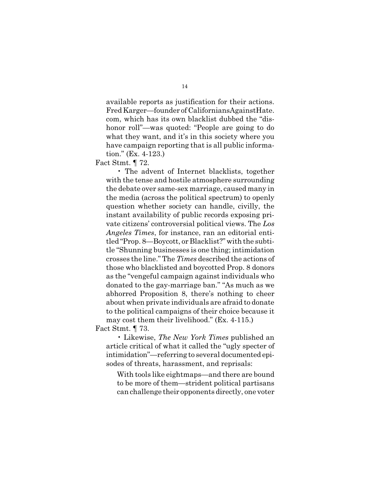available reports as justification for their actions. FredKarger—founder of CaliforniansAgainstHate. com, which has its own blacklist dubbed the "dishonor roll"—was quoted: "People are going to do what they want, and it's in this society where you have campaign reporting that is all public information." (Ex. 4-123.)

Fact Stmt. ¶ 72.

• The advent of Internet blacklists, together with the tense and hostile atmosphere surrounding the debate over same-sex marriage, caused many in the media (across the political spectrum) to openly question whether society can handle, civilly, the instant availability of public records exposing private citizens' controversial political views. The *Los Angeles Times*, for instance, ran an editorial entitled "Prop. 8—Boycott, or Blacklist?" with the subtitle "Shunning businesses is one thing; intimidation crosses the line." The *Times* described the actions of those who blacklisted and boycotted Prop. 8 donors as the "vengeful campaign against individuals who donated to the gay-marriage ban." "As much as we abhorred Proposition 8, there's nothing to cheer about when private individuals are afraid to donate to the political campaigns of their choice because it may cost them their livelihood." (Ex. 4-115.)

Fact Stmt. ¶ 73.

• Likewise, *The New York Times* published an article critical of what it called the "ugly specter of intimidation"—referring to several documented episodes of threats, harassment, and reprisals:

With tools like eightmaps—and there are bound to be more of them—strident political partisans can challenge their opponents directly, one voter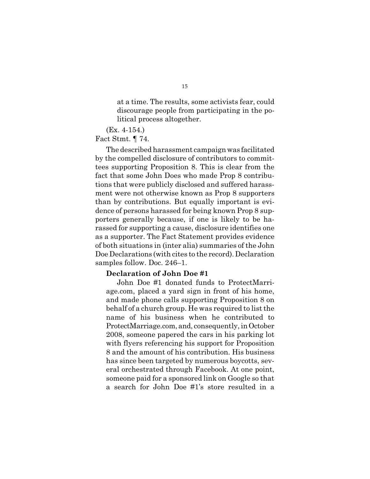at a time. The results, some activists fear, could discourage people from participating in the political process altogether.

(Ex. 4-154.)

Fact Stmt. ¶ 74.

The described harassment campaignwas facilitated by the compelled disclosure of contributors to committees supporting Proposition 8. This is clear from the fact that some John Does who made Prop 8 contributions that were publicly disclosed and suffered harassment were not otherwise known as Prop 8 supporters than by contributions. But equally important is evidence of persons harassed for being known Prop 8 supporters generally because, if one is likely to be harassed for supporting a cause, disclosure identifies one as a supporter. The Fact Statement provides evidence of both situations in (inter alia) summaries of the John Doe Declarations (with cites to the record). Declaration samples follow. Doc. 246–1.

#### **Declaration of John Doe #1**

John Doe #1 donated funds to ProtectMarriage.com, placed a yard sign in front of his home, and made phone calls supporting Proposition 8 on behalf of a church group. He was required to list the name of his business when he contributed to ProtectMarriage.com, and, consequently, in October 2008, someone papered the cars in his parking lot with flyers referencing his support for Proposition 8 and the amount of his contribution. His business has since been targeted by numerous boycotts, several orchestrated through Facebook. At one point, someone paid for a sponsored link on Google so that a search for John Doe #1's store resulted in a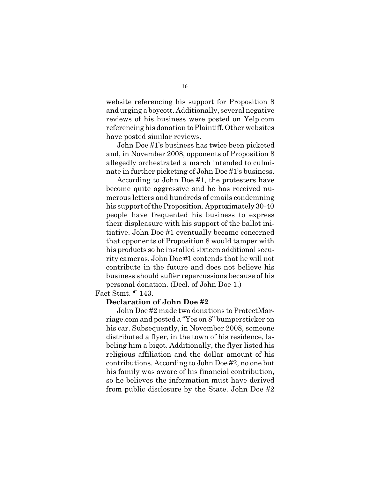website referencing his support for Proposition 8 and urging a boycott. Additionally, several negative reviews of his business were posted on Yelp.com referencing his donation to Plaintiff. Other websites have posted similar reviews.

John Doe #1's business has twice been picketed and, in November 2008, opponents of Proposition 8 allegedly orchestrated a march intended to culminate in further picketing of John Doe #1's business.

According to John Doe #1, the protesters have become quite aggressive and he has received numerous letters and hundreds of emails condemning his support of the Proposition. Approximately 30-40 people have frequented his business to express their displeasure with his support of the ballot initiative. John Doe #1 eventually became concerned that opponents of Proposition 8 would tamper with his products so he installed sixteen additional security cameras. John Doe #1 contends that he will not contribute in the future and does not believe his business should suffer repercussions because of his personal donation. (Decl. of John Doe 1.)

Fact Stmt. ¶ 143.

#### **Declaration of John Doe #2**

John Doe #2 made two donations to ProtectMarriage.com and posted a "Yes on 8" bumpersticker on his car. Subsequently, in November 2008, someone distributed a flyer, in the town of his residence, labeling him a bigot. Additionally, the flyer listed his religious affiliation and the dollar amount of his contributions. According to John Doe #2, no one but his family was aware of his financial contribution, so he believes the information must have derived from public disclosure by the State. John Doe #2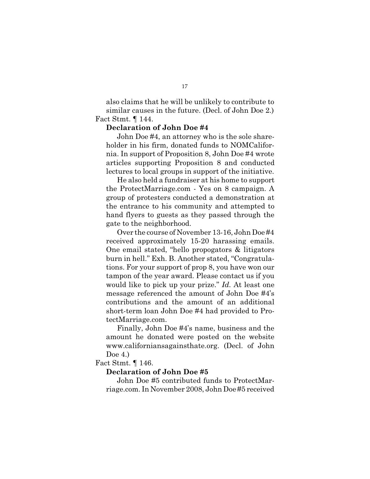also claims that he will be unlikely to contribute to similar causes in the future. (Decl. of John Doe 2.) Fact Stmt. ¶ 144.

#### **Declaration of John Doe #4**

John Doe #4, an attorney who is the sole shareholder in his firm, donated funds to NOMCalifornia. In support of Proposition 8, John Doe #4 wrote articles supporting Proposition 8 and conducted lectures to local groups in support of the initiative.

He also held a fundraiser at his home to support the ProtectMarriage.com - Yes on 8 campaign. A group of protesters conducted a demonstration at the entrance to his community and attempted to hand flyers to guests as they passed through the gate to the neighborhood.

Over the course of November 13-16, John Doe #4 received approximately 15-20 harassing emails. One email stated, "hello propogators & litigators burn in hell." Exh. B. Another stated, "Congratulations. For your support of prop 8, you have won our tampon of the year award. Please contact us if you would like to pick up your prize." *Id.* At least one message referenced the amount of John Doe #4's contributions and the amount of an additional short-term loan John Doe #4 had provided to ProtectMarriage.com.

Finally, John Doe #4's name, business and the amount he donated were posted on the website www.californiansagainsthate.org. (Decl. of John Doe 4.)

Fact Stmt. ¶ 146.

#### **Declaration of John Doe #5**

John Doe #5 contributed funds to ProtectMarriage.com. In November 2008, John Doe #5 received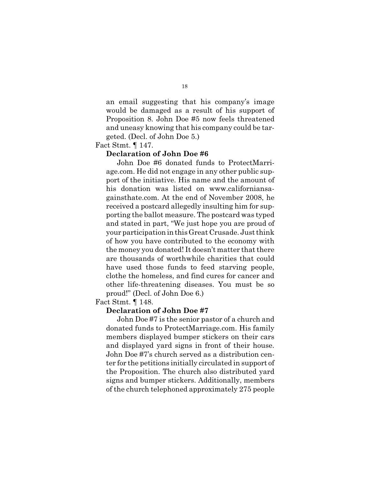an email suggesting that his company's image would be damaged as a result of his support of Proposition 8. John Doe #5 now feels threatened and uneasy knowing that his company could be targeted. (Decl. of John Doe 5.)

Fact Stmt. ¶ 147.

### **Declaration of John Doe #6**

John Doe #6 donated funds to ProtectMarriage.com. He did not engage in any other public support of the initiative. His name and the amount of his donation was listed on www.californiansagainsthate.com. At the end of November 2008, he received a postcard allegedly insulting him for supporting the ballot measure. The postcard was typed and stated in part, "We just hope you are proud of your participation inthis Great Crusade. Just think of how you have contributed to the economy with the money you donated! It doesn't matter that there are thousands of worthwhile charities that could have used those funds to feed starving people, clothe the homeless, and find cures for cancer and other life-threatening diseases. You must be so proud!" (Decl. of John Doe 6.)

Fact Stmt. ¶ 148.

#### **Declaration of John Doe #7**

John Doe #7 is the senior pastor of a church and donated funds to ProtectMarriage.com. His family members displayed bumper stickers on their cars and displayed yard signs in front of their house. John Doe #7's church served as a distribution center for the petitions initially circulated in support of the Proposition. The church also distributed yard signs and bumper stickers. Additionally, members of the church telephoned approximately 275 people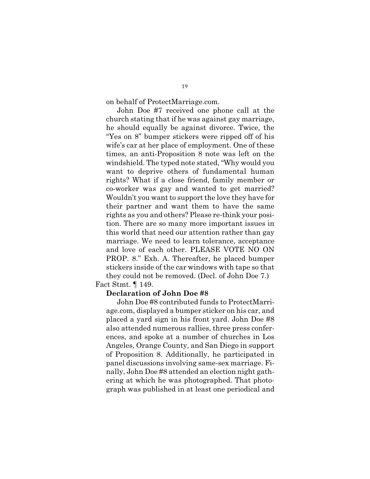on behalf of ProtectMarriage.com.

John Doe #7 received one phone call at the church stating that if he was against gay marriage, he should equally be against divorce. Twice, the "Yes on 8" bumper stickers were ripped off of his wife's car at her place of employment. One of these times, an anti-Proposition 8 note was left on the windshield. The typed note stated, "Why would you want to deprive others of fundamental human rights? What if a close friend, family member or co-worker was gay and wanted to get married? Wouldn't you want to support the love they have for their partner and want them to have the same rights as you and others? Please re-think your position. There are so many more important issues in this world that need our attention rather than gay marriage. We need to learn tolerance, acceptance and love of each other. PLEASE VOTE NO ON PROP. 8." Exh. A. Thereafter, he placed bumper stickers inside of the car windows with tape so that they could not be removed. (Decl. of John Doe 7.) Fact Stmt. ¶ 149.

## **Declaration of John Doe #8**

John Doe #8 contributed funds to ProtectMarriage.com, displayed a bumper sticker on his car, and placed a yard sign in his front yard. John Doe #8 also attended numerous rallies, three press conferences, and spoke at a number of churches in Los Angeles, Orange County, and San Diego in support of Proposition 8. Additionally, he participated in panel discussions involving same-sex marriage. Finally, John Doe #8 attended an election night gathering at which he was photographed. That photograph was published in at least one periodical and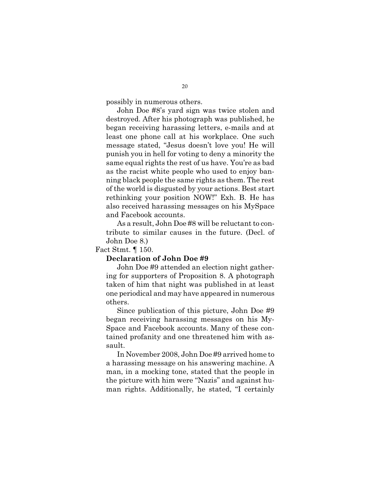possibly in numerous others.

John Doe #8's yard sign was twice stolen and destroyed. After his photograph was published, he began receiving harassing letters, e-mails and at least one phone call at his workplace. One such message stated, "Jesus doesn't love you! He will punish you in hell for voting to deny a minority the same equal rights the rest of us have. You're as bad as the racist white people who used to enjoy banning black people the same rights as them. The rest of the world is disgusted by your actions. Best start rethinking your position NOW!" Exh. B. He has also received harassing messages on his MySpace and Facebook accounts.

As a result, John Doe #8 will be reluctant to contribute to similar causes in the future. (Decl. of John Doe 8.)

Fact Stmt. ¶ 150.

### **Declaration of John Doe #9**

John Doe #9 attended an election night gathering for supporters of Proposition 8. A photograph taken of him that night was published in at least one periodical and may have appeared in numerous others.

Since publication of this picture, John Doe #9 began receiving harassing messages on his My-Space and Facebook accounts. Many of these contained profanity and one threatened him with assault.

In November 2008, John Doe #9 arrived home to a harassing message on his answering machine. A man, in a mocking tone, stated that the people in the picture with him were "Nazis" and against human rights. Additionally, he stated, "I certainly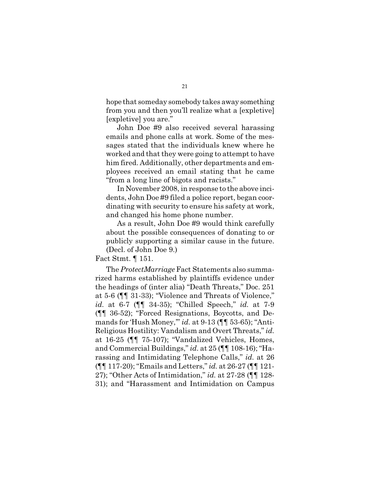hope that someday somebody takes away something from you and then you'll realize what a [expletive] [expletive] you are."

John Doe #9 also received several harassing emails and phone calls at work. Some of the messages stated that the individuals knew where he worked and that they were going to attempt to have him fired. Additionally, other departments and employees received an email stating that he came "from a long line of bigots and racists."

In November 2008, in response to the above incidents, John Doe #9 filed a police report, began coordinating with security to ensure his safety at work, and changed his home phone number.

As a result, John Doe #9 would think carefully about the possible consequences of donating to or publicly supporting a similar cause in the future. (Decl. of John Doe 9.)

Fact Stmt. ¶ 151.

The *ProtectMarriage*Fact Statements also summarized harms established by plaintiffs evidence under the headings of (inter alia) "Death Threats," Doc. 251 at 5-6 (¶¶ 31-33); "Violence and Threats of Violence," *id.* at 6-7 (¶¶ 34-35); "Chilled Speech," *id.* at 7-9 (¶¶ 36-52); "Forced Resignations, Boycotts, and Demands for 'Hush Money,'" *id.* at 9-13 (¶¶ 53-65); "Anti-Religious Hostility: Vandalism and Overt Threats," *id.* at 16-25 (¶¶ 75-107); "Vandalized Vehicles, Homes, and Commercial Buildings," *id.* at 25 (¶¶ 108-16); "Harassing and Intimidating Telephone Calls," *id.* at 26 (¶¶ 117-20); "Emails and Letters," *id.* at 26-27 (¶¶ 121- 27); "Other Acts of Intimidation," *id.* at 27-28 (¶¶ 128- 31); and "Harassment and Intimidation on Campus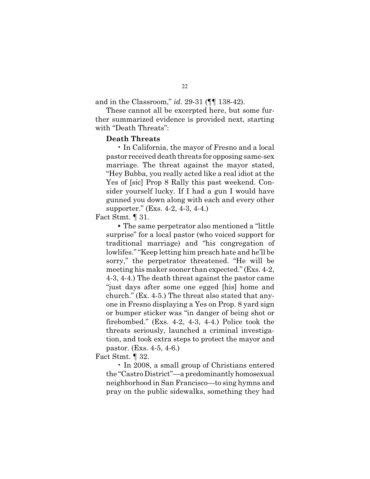and in the Classroom," *id.* 29-31 (¶¶ 138-42).

These cannot all be excerpted here, but some further summarized evidence is provided next, starting with "Death Threats":

#### **Death Threats**

• In California, the mayor of Fresno and a local pastor received death threats for opposing same-sex marriage. The threat against the mayor stated, "Hey Bubba, you really acted like a real idiot at the Yes of [sic] Prop 8 Rally this past weekend. Consider yourself lucky. If I had a gun I would have gunned you down along with each and every other supporter." (Exs. 4-2, 4-3, 4-4.)

## Fact Stmt. ¶ 31.

**•** The same perpetrator also mentioned a "little surprise" for a local pastor (who voiced support for traditional marriage) and "his congregation of lowlifes.""Keep letting him preach hate and he'll be sorry," the perpetrator threatened. "He will be meeting his maker sooner than expected." (Exs. 4-2, 4-3, 4-4.) The death threat against the pastor came "just days after some one egged [his] home and church." (Ex. 4-5.) The threat also stated that anyone in Fresno displaying a Yes on Prop. 8 yard sign or bumper sticker was "in danger of being shot or firebombed." (Exs. 4-2, 4-3, 4-4.) Police took the threats seriously, launched a criminal investigation, and took extra steps to protect the mayor and pastor. (Exs. 4-5, 4-6.)

Fact Stmt. ¶ 32.

• In 2008, a small group of Christians entered the "Castro District"—a predominantly homosexual neighborhood in San Francisco—to sing hymns and pray on the public sidewalks, something they had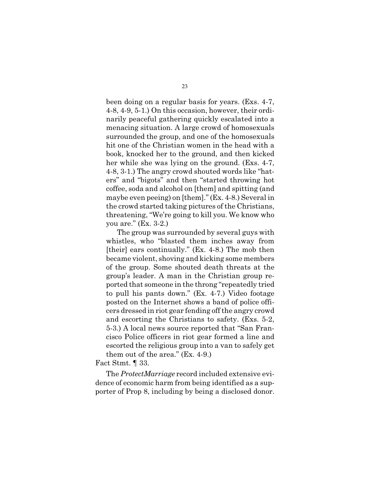been doing on a regular basis for years. (Exs. 4-7, 4-8, 4-9, 5-1.) On this occasion, however, their ordinarily peaceful gathering quickly escalated into a menacing situation. A large crowd of homosexuals surrounded the group, and one of the homosexuals hit one of the Christian women in the head with a book, knocked her to the ground, and then kicked her while she was lying on the ground. (Exs. 4-7, 4-8, 3-1.) The angry crowd shouted words like "haters" and "bigots" and then "started throwing hot coffee, soda and alcohol on [them] and spitting (and maybe even peeing) on [them]." (Ex. 4-8.) Several in the crowd started taking pictures of the Christians, threatening, "We're going to kill you. We know who you are." (Ex. 3-2.)

The group was surrounded by several guys with whistles, who "blasted them inches away from [their] ears continually." (Ex. 4-8.) The mob then became violent, shoving and kicking some members of the group. Some shouted death threats at the group's leader. A man in the Christian group reported that someone in the throng "repeatedly tried to pull his pants down." (Ex. 4-7.) Video footage posted on the Internet shows a band of police officers dressed in riot gear fending off the angry crowd and escorting the Christians to safety. (Exs. 5-2, 5-3.) A local news source reported that "San Francisco Police officers in riot gear formed a line and escorted the religious group into a van to safely get them out of the area." (Ex. 4-9.)

### Fact Stmt. ¶ 33.

The *ProtectMarriage* record included extensive evidence of economic harm from being identified as a supporter of Prop 8, including by being a disclosed donor.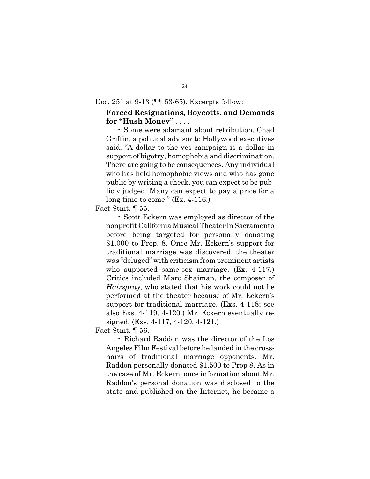Doc. 251 at 9-13 (¶¶ 53-65). Excerpts follow:

## **Forced Resignations, Boycotts, and Demands for "Hush Money"** . . . .

• Some were adamant about retribution. Chad Griffin, a political advisor to Hollywood executives said, "A dollar to the yes campaign is a dollar in support of bigotry, homophobia and discrimination. There are going to be consequences. Any individual who has held homophobic views and who has gone public by writing a check, you can expect to be publicly judged. Many can expect to pay a price for a long time to come." (Ex. 4-116.)

Fact Stmt. ¶ 55.

• Scott Eckern was employed as director of the nonprofit CaliforniaMusicalTheater inSacramento before being targeted for personally donating \$1,000 to Prop. 8. Once Mr. Eckern's support for traditional marriage was discovered, the theater was "deluged" with criticism from prominent artists who supported same-sex marriage. (Ex. 4-117.) Critics included Marc Shaiman, the composer of *Hairspray*, who stated that his work could not be performed at the theater because of Mr. Eckern's support for traditional marriage. (Exs. 4-118; see also Exs. 4-119, 4-120.) Mr. Eckern eventually resigned. (Exs. 4-117, 4-120, 4-121.)

Fact Stmt. ¶ 56.

• Richard Raddon was the director of the Los Angeles Film Festival before he landed in the crosshairs of traditional marriage opponents. Mr. Raddon personally donated \$1,500 to Prop 8. As in the case of Mr. Eckern, once information about Mr. Raddon's personal donation was disclosed to the state and published on the Internet, he became a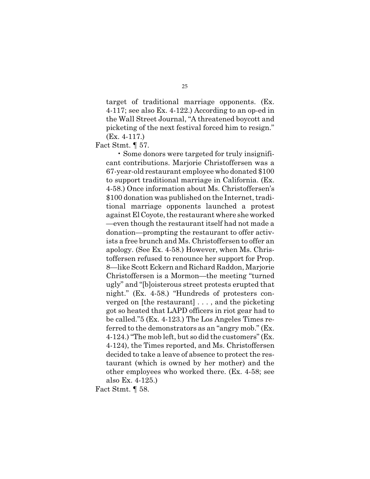target of traditional marriage opponents. (Ex. 4-117; see also Ex. 4-122.) According to an op-ed in the Wall Street Journal, "A threatened boycott and picketing of the next festival forced him to resign." (Ex. 4-117.)

Fact Stmt. ¶ 57.

• Some donors were targeted for truly insignificant contributions. Marjorie Christoffersen was a 67-year-old restaurant employee who donated \$100 to support traditional marriage in California. (Ex. 4-58.) Once information about Ms. Christoffersen's \$100 donation was published on the Internet, traditional marriage opponents launched a protest against El Coyote, the restaurant where she worked —even though the restaurant itself had not made a donation—prompting the restaurant to offer activists a free brunch and Ms. Christoffersen to offer an apology. (See Ex. 4-58.) However, when Ms. Christoffersen refused to renounce her support for Prop. 8—like Scott Eckern and Richard Raddon, Marjorie Christoffersen is a Mormon—the meeting "turned ugly" and "[b]oisterous street protests erupted that night." (Ex. 4-58.) "Hundreds of protesters converged on [the restaurant] . . . , and the picketing got so heated that LAPD officers in riot gear had to be called."5 (Ex. 4-123.) The Los Angeles Times referred to the demonstrators as an "angry mob." (Ex. 4-124.) "The mob left, but so did the customers" (Ex. 4-124), the Times reported, and Ms. Christoffersen decided to take a leave of absence to protect the restaurant (which is owned by her mother) and the other employees who worked there. (Ex. 4-58; see also Ex. 4-125.)

Fact Stmt. ¶ 58.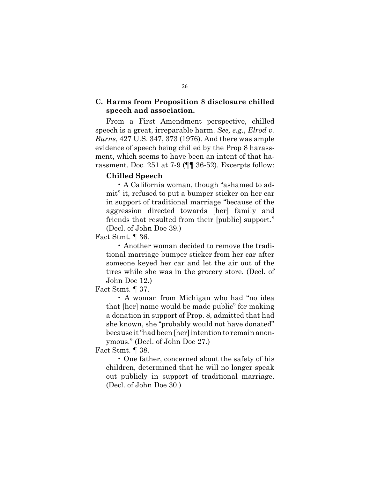## **C. Harms from Proposition 8 disclosure chilled speech and association.**

From a First Amendment perspective, chilled speech is a great, irreparable harm. *See, e.g.*, *Elrod v. Burns*, 427 U.S. 347, 373 (1976). And there was ample evidence of speech being chilled by the Prop 8 harassment, which seems to have been an intent of that harassment. Doc. 251 at 7-9 (¶¶ 36-52). Excerpts follow:

#### **Chilled Speech**

• A California woman, though "ashamed to admit" it, refused to put a bumper sticker on her car in support of traditional marriage "because of the aggression directed towards [her] family and friends that resulted from their [public] support." (Decl. of John Doe 39.)

Fact Stmt. ¶ 36.

• Another woman decided to remove the traditional marriage bumper sticker from her car after someone keyed her car and let the air out of the tires while she was in the grocery store. (Decl. of John Doe 12.)

Fact Stmt. ¶ 37.

• A woman from Michigan who had "no idea that [her] name would be made public" for making a donation in support of Prop. 8, admitted that had she known, she "probably would not have donated" because it"had been [her] intention to remain anonymous." (Decl. of John Doe 27.)

Fact Stmt. ¶ 38.

• One father, concerned about the safety of his children, determined that he will no longer speak out publicly in support of traditional marriage. (Decl. of John Doe 30.)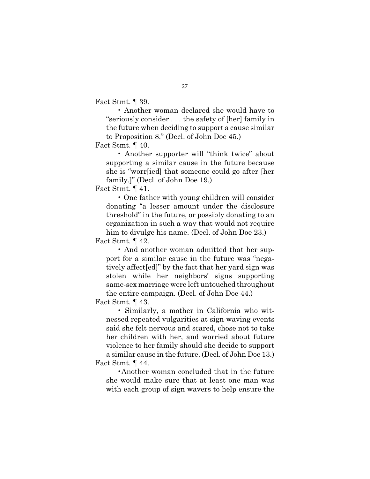Fact Stmt. ¶ 39.

• Another woman declared she would have to "seriously consider . . . the safety of [her] family in the future when deciding to support a cause similar to Proposition 8." (Decl. of John Doe 45.)

Fact Stmt. ¶ 40.

• Another supporter will "think twice" about supporting a similar cause in the future because she is "worr[ied] that someone could go after [her family.]" (Decl. of John Doe 19.)

Fact Stmt. ¶ 41.

• One father with young children will consider donating "a lesser amount under the disclosure threshold" in the future, or possibly donating to an organization in such a way that would not require him to divulge his name. (Decl. of John Doe 23.)

Fact Stmt. ¶ 42.

• And another woman admitted that her support for a similar cause in the future was "negatively affect[ed]" by the fact that her yard sign was stolen while her neighbors' signs supporting same-sex marriage were left untouched throughout the entire campaign. (Decl. of John Doe 44.)

Fact Stmt. ¶ 43.

• Similarly, a mother in California who witnessed repeated vulgarities at sign-waving events said she felt nervous and scared, chose not to take her children with her, and worried about future violence to her family should she decide to support a similar cause in the future. (Decl. of John Doe 13.) Fact Stmt. ¶ 44.

•Another woman concluded that in the future she would make sure that at least one man was with each group of sign wavers to help ensure the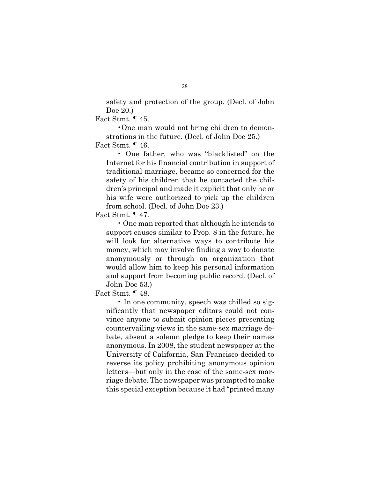safety and protection of the group. (Decl. of John Doe 20.)

Fact Stmt. ¶ 45.

•One man would not bring children to demonstrations in the future. (Decl. of John Doe 25.)

Fact Stmt. ¶ 46.

• One father, who was "blacklisted" on the Internet for his financial contribution in support of traditional marriage, became so concerned for the safety of his children that he contacted the children's principal and made it explicit that only he or his wife were authorized to pick up the children from school. (Decl. of John Doe 23.)

Fact Stmt. ¶ 47.

• One man reported that although he intends to support causes similar to Prop. 8 in the future, he will look for alternative ways to contribute his money, which may involve finding a way to donate anonymously or through an organization that would allow him to keep his personal information and support from becoming public record. (Decl. of John Doe 53.)

Fact Stmt. ¶ 48.

• In one community, speech was chilled so significantly that newspaper editors could not convince anyone to submit opinion pieces presenting countervailing views in the same-sex marriage debate, absent a solemn pledge to keep their names anonymous. In 2008, the student newspaper at the University of California, San Francisco decided to reverse its policy prohibiting anonymous opinion letters—but only in the case of the same-sex marriage debate. The newspaper was prompted to make this special exception because it had "printed many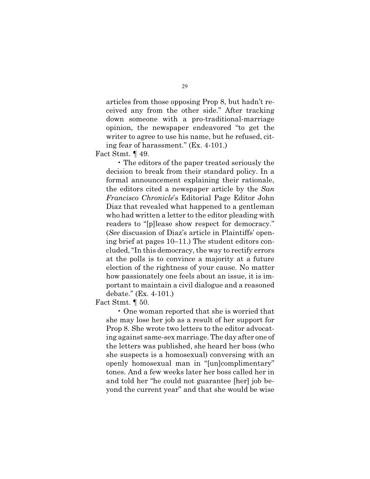articles from those opposing Prop 8, but hadn't received any from the other side." After tracking down someone with a pro-traditional-marriage opinion, the newspaper endeavored "to get the writer to agree to use his name, but he refused, citing fear of harassment." (Ex. 4-101.)

Fact Stmt. ¶ 49.

• The editors of the paper treated seriously the decision to break from their standard policy. In a formal announcement explaining their rationale, the editors cited a newspaper article by the *San Francisco Chronicle*'s Editorial Page Editor John Diaz that revealed what happened to a gentleman who had written a letter to the editor pleading with readers to "[p]lease show respect for democracy." (*See* discussion of Diaz's article in Plaintiffs' opening brief at pages 10–11.) The student editors concluded,"In this democracy, the way to rectify errors at the polls is to convince a majority at a future election of the rightness of your cause. No matter how passionately one feels about an issue, it is important to maintain a civil dialogue and a reasoned debate." (Ex. 4-101.)

Fact Stmt. ¶ 50.

• One woman reported that she is worried that she may lose her job as a result of her support for Prop 8. She wrote two letters to the editor advocating against same-sex marriage. The day after one of the letters was published, she heard her boss (who she suspects is a homosexual) conversing with an openly homosexual man in "[un]complimentary" tones. And a few weeks later her boss called her in and told her "he could not guarantee [her] job beyond the current year" and that she would be wise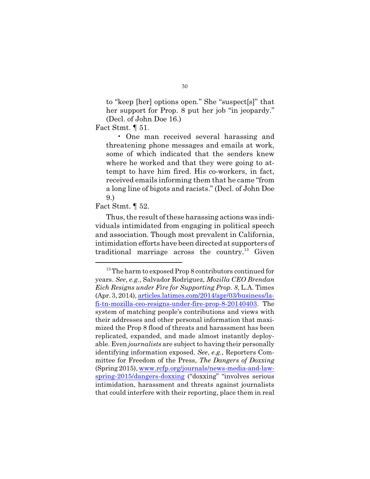to "keep [her] options open." She "suspect[s]" that her support for Prop. 8 put her job "in jeopardy." (Decl. of John Doe 16.)

Fact Stmt. 1 51.

• One man received several harassing and threatening phone messages and emails at work, some of which indicated that the senders knew where he worked and that they were going to attempt to have him fired. His co-workers, in fact, received emails informing them that he came "from a long line of bigots and racists." (Decl. of John Doe 9.)

#### Fact Stmt. ¶ 52.

Thus, the result of these harassing actions was individuals intimidated from engaging in political speech and association. Though most prevalent in California, intimidation efforts have been directed at supporters of traditional marriage across the country.<sup>13</sup> Given

<sup>&</sup>lt;sup>13</sup>The harm to exposed Prop 8 contributors continued for years. *See*, *e.g.*, Salvador Rodriguez, *Mozilla CEO Brendan Eich Resigns under Fire for Supporting Prop. 8*, L.A. Times (Apr. 3, 2014), articles.latimes.com/2014/apr/03/business/lafi-tn-mozilla-ceo-resigns-under-fire-prop-8-20140403. The system of matching people's contributions and views with their addresses and other personal information that maximized the Prop 8 flood of threats and harassment has been replicated, expanded, and made almost instantly deployable. Even *journalists* are subject to having their personally identifying information exposed. *See*, *e.g.*, Reporters Committee for Freedom of the Press, *The Dangers of Doxxing* (Spring 2015), www.rcfp.org/journals/news-media-and-lawspring-2015/dangers-doxxing ("doxxing" "involves serious intimidation, harassment and threats against journalists that could interfere with their reporting, place them in real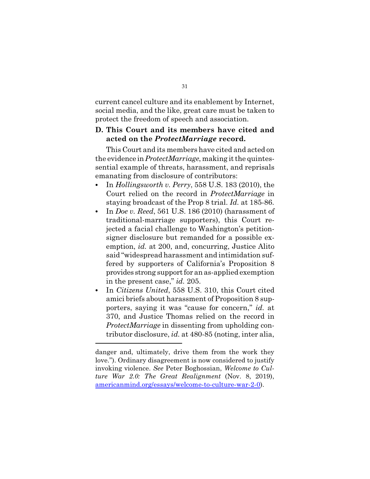current cancel culture and its enablement by Internet, social media, and the like, great care must be taken to protect the freedom of speech and association.

## **D. This Court and its members have cited and acted on the** *ProtectMarriage* **record.**

This Court and its members have cited and acted on the evidence in*ProtectMarriage*, making it the quintessential example of threats, harassment, and reprisals emanating from disclosure of contributors:

- ∙ In *Hollingsworth v. Perry*, 558 U.S. 183 (2010), the Court relied on the record in *ProtectMarriage* in staying broadcast of the Prop 8 trial. *Id.* at 185-86.
- ∙ In *Doe v. Reed*, 561 U.S. 186 (2010) (harassment of traditional-marriage supporters), this Court rejected a facial challenge to Washington's petitionsigner disclosure but remanded for a possible exemption, *id.* at 200, and, concurring, Justice Alito said "widespread harassment and intimidation suffered by supporters of California's Proposition 8 provides strong support for an as-applied exemption in the present case," *id.* 205.
- ∙ In *Citizens United*, 558 U.S. 310, this Court cited amici briefs about harassment of Proposition 8 supporters, saying it was "cause for concern," *id.* at 370, and Justice Thomas relied on the record in *ProtectMarriage* in dissenting from upholding contributor disclosure, *id.* at 480-85 (noting, inter alia,

danger and, ultimately, drive them from the work they love."). Ordinary disagreement is now considered to justify invoking violence. *See* Peter Boghossian, *Welcome to Culture War 2.0: The Great Realignment* (Nov. 8, 2019), americanmind.org/essays/welcome-to-culture-war-2-0).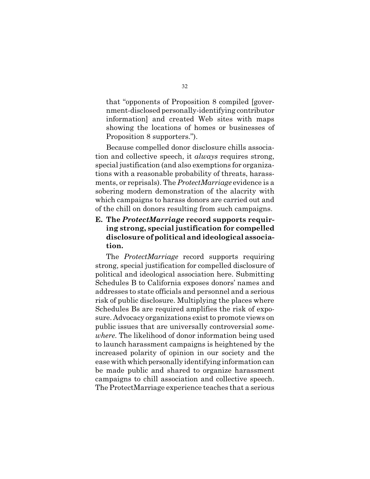that "opponents of Proposition 8 compiled [government-disclosed personally-identifying contributor information] and created Web sites with maps showing the locations of homes or businesses of Proposition 8 supporters.").

Because compelled donor disclosure chills association and collective speech, it *always* requires strong, special justification (and also exemptions for organizations with a reasonable probability of threats, harassments, or reprisals). The *ProtectMarriage* evidence is a sobering modern demonstration of the alacrity with which campaigns to harass donors are carried out and of the chill on donors resulting from such campaigns.

# **E. The** *ProtectMarriage* **record supports requiring strong, special justification for compelled disclosure ofpolitical and ideological association.**

The *ProtectMarriage* record supports requiring strong, special justification for compelled disclosure of political and ideological association here. Submitting Schedules B to California exposes donors' names and addresses to state officials and personnel and a serious risk of public disclosure. Multiplying the places where Schedules Bs are required amplifies the risk of exposure. Advocacy organizations exist to promote views on public issues that are universally controversial *somewhere*. The likelihood of donor information being used to launch harassment campaigns is heightened by the increased polarity of opinion in our society and the ease with which personally identifying information can be made public and shared to organize harassment campaigns to chill association and collective speech. The ProtectMarriage experience teaches that a serious